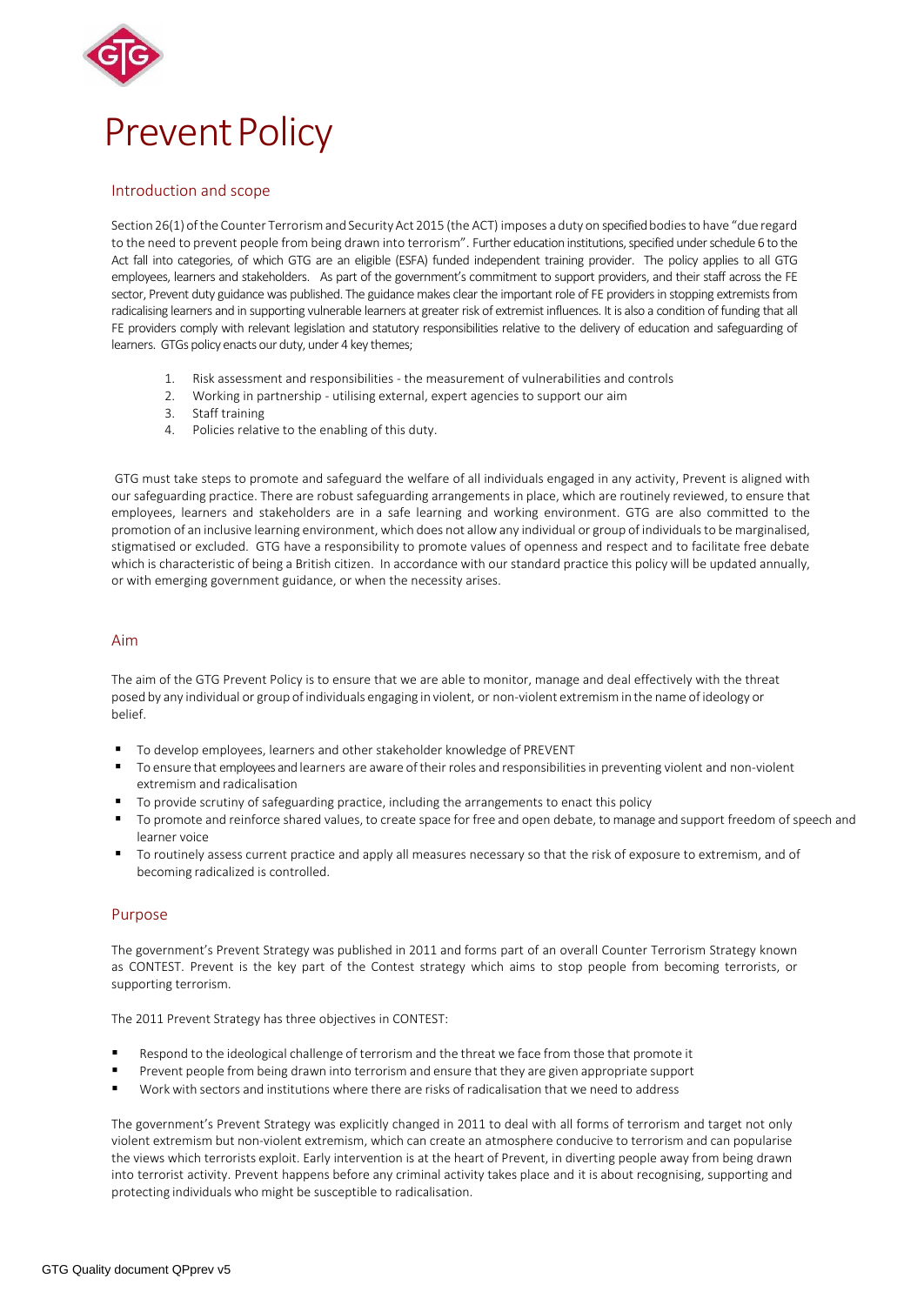

# Introduction and scope

Section 26(1) ofthe Counter Terrorismand Security Act 2015 (the ACT) imposes a duty on specified bodiesto have "due regard to the need to prevent people from being drawn into terrorism". Further education institutions, specified under schedule 6 to the Act fall into categories, of which GTG are an eligible (ESFA) funded independent training provider. The policy applies to all GTG employees, learners and stakeholders. As part of the government's commitment to support providers, and their staff across the FE sector, Prevent duty guidance was published. The guidance makes clear the important role of FE providers in stopping extremists from radicalising learners and in supporting vulnerable learners at greater risk of extremist influences. It is also a condition of funding that all FE providers comply with relevant legislation and statutory responsibilities relative to the delivery of education and safeguarding of learners. GTGs policy enacts our duty, under 4 key themes;

- 1. Risk assessment and responsibilities the measurement of vulnerabilities and controls
- 2. Working in partnership utilising external, expert agencies to support our aim
- 3. Staff training
- 4. Policies relative to the enabling of this duty.

GTG must take steps to promote and safeguard the welfare of all individuals engaged in any activity, Prevent is aligned with our safeguarding practice. There are robust safeguarding arrangements in place, which are routinely reviewed, to ensure that employees, learners and stakeholders are in a safe learning and working environment. GTG are also committed to the promotion of an inclusive learning environment, which does not allow any individual or group of individuals to be marginalised, stigmatised or excluded. GTG have a responsibility to promote values of openness and respect and to facilitate free debate which is characteristic of being a British citizen. In accordance with our standard practice this policy will be updated annually, or with emerging government guidance, or when the necessity arises.

### Aim

The aim of the GTG Prevent Policy is to ensure that we are able to monitor, manage and deal effectively with the threat posed by any individual or group of individuals engaging in violent, or non-violent extremismin the name of ideology or belief.

- To develop employees, learners and other stakeholder knowledge of PREVENT
- To ensure that employees and learners are aware oftheir roles and responsibilitiesin preventing violent and non-violent extremism and radicalisation
- **The Follo Scrutiny of safeguarding practice, including the arrangements to enact this policy**  $\blacksquare$
- To promote and reinforce shared values, to create space for free and open debate, to manage and support freedom of speech and learner voice
- To routinely assess current practice and apply all measures necessary so that the risk of exposure to extremism, and of becoming radicalized is controlled.

### Purpose

The government's Prevent Strategy was published in 2011 and forms part of an overall Counter Terrorism Strategy known as CONTEST. Prevent is the key part of the Contest strategy which aims to stop people from becoming terrorists, or supporting terrorism.

The 2011 Prevent Strategy has three objectives in CONTEST:

- Respond to the ideological challenge of terrorism and the threat we face from those that promote it
- Prevent people from being drawn into terrorism and ensure that they are given appropriate support
- Work with sectors and institutions where there are risks of radicalisation that we need to address

The government's Prevent Strategy was explicitly changed in 2011 to deal with all forms of terrorism and target not only violent extremism but non-violent extremism, which can create an atmosphere conducive to terrorism and can popularise the views which terrorists exploit. Early intervention is at the heart of Prevent, in diverting people away from being drawn into terrorist activity. Prevent happens before any criminal activity takes place and it is about recognising, supporting and protecting individuals who might be susceptible to radicalisation.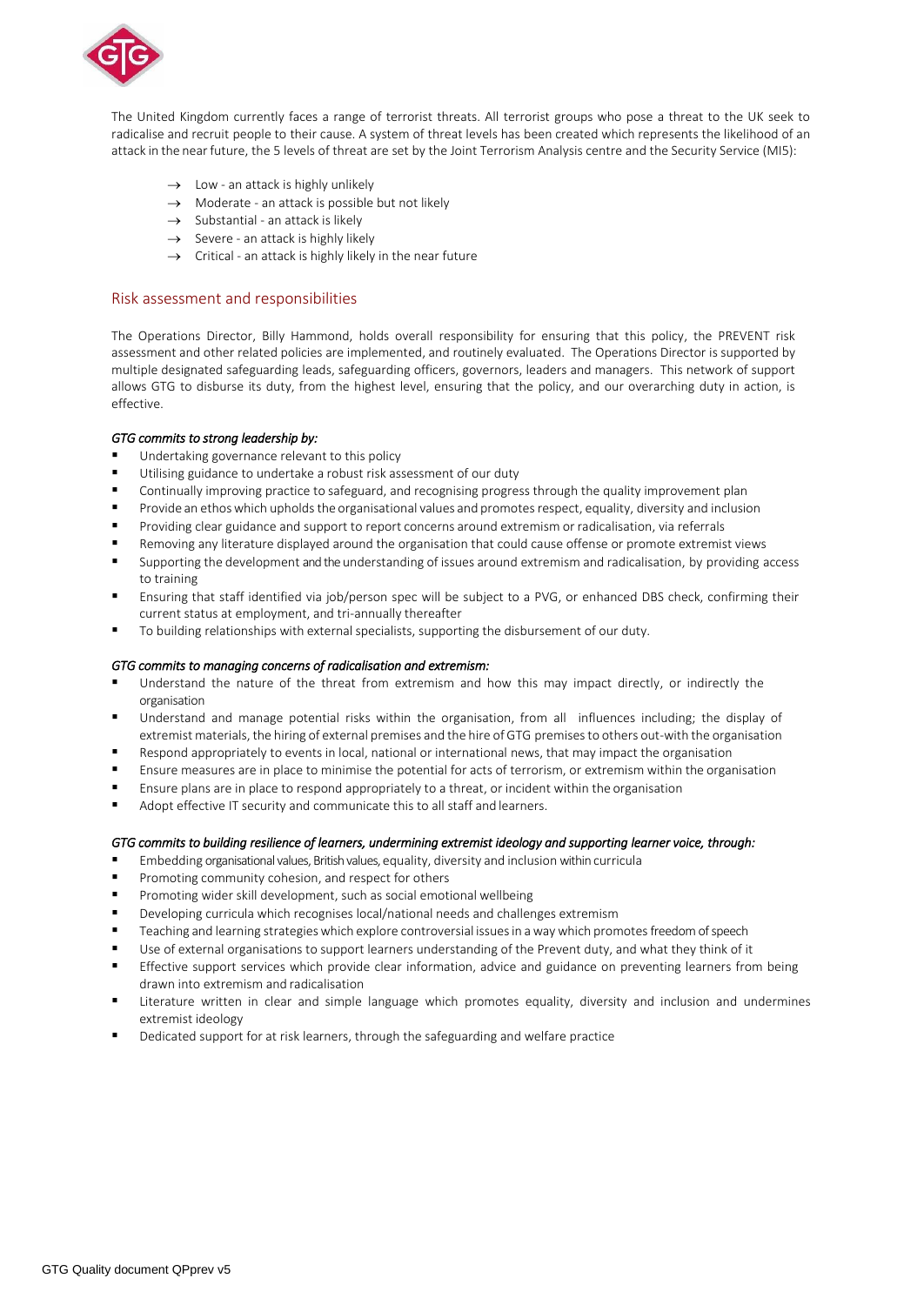

The United Kingdom currently faces a range of terrorist threats. All terrorist groups who pose a threat to the UK seek to radicalise and recruit people to their cause. A system of threat levels has been created which represents the likelihood of an attack in the near future, the 5 levels of threat are set by the Joint Terrorism Analysis centre and the Security Service (MI5):

- $\rightarrow$  Low an attack is highly unlikely
- $\rightarrow$  Moderate an attack is possible but not likely
- $\rightarrow$  Substantial an attack is likely
- $\rightarrow$  Severe an attack is highly likely
- $\rightarrow$  Critical an attack is highly likely in the near future

## Risk assessment and responsibilities

The Operations Director, Billy Hammond, holds overall responsibility for ensuring that this policy, the PREVENT risk assessment and other related policies are implemented, and routinely evaluated. The Operations Director is supported by multiple designated safeguarding leads, safeguarding officers, governors, leaders and managers. This network of support allows GTG to disburse its duty, from the highest level, ensuring that the policy, and our overarching duty in action, is effective.

### *GTG commits to strong leadership by:*

- Undertaking governance relevant to this policy
- Utilising guidance to undertake a robust risk assessment of our duty
- Continually improving practice to safeguard, and recognising progress through the quality improvement plan
- Provide an ethos which upholds the organisational values and promotes respect, equality, diversity and inclusion
- Providing clear guidance and support to report concerns around extremism or radicalisation, via referrals
- Removing any literature displayed around the organisation that could cause offense or promote extremist views
- Supporting the development and the understanding of issues around extremism and radicalisation, by providing access to training
- Ensuring that staff identified via job/person spec will be subject to a PVG, or enhanced DBS check, confirming their current status at employment, and tri-annually thereafter
- To building relationships with external specialists, supporting the disbursement of our duty.

#### *GTG commits to managing concerns of radicalisation and extremism:*

- Understand the nature of the threat from extremism and how this may impact directly, or indirectly the organisation
- Understand and manage potential risks within the organisation, from all influences including; the display of extremist materials, the hiring of external premises and the hire of GTG premisesto others out-with the organisation
- Respond appropriately to events in local, national or international news, that may impact the organisation
- Ensure measures are in place to minimise the potential for acts of terrorism, or extremism within the organisation
- Ensure plans are in place to respond appropriately to a threat, or incident within the organisation
- Adopt effective IT security and communicate this to all staff and learners.

#### *GTG commits to building resilience of learners, undermining extremist ideology and supporting learner voice, through:*

- Embedding organisational values, British values, equality, diversity and inclusion within curricula
- Promoting community cohesion, and respect for others
- Promoting wider skill development, such as social emotional wellbeing
- Developing curricula which recognises local/national needs and challenges extremism
- Teaching and learning strategies which explore controversial issues in a way which promotes freedom of speech
- Use of external organisations to support learners understanding of the Prevent duty, and what they think of it
- Effective support services which provide clear information, advice and guidance on preventing learners from being drawn into extremism and radicalisation
- Literature written in clear and simple language which promotes equality, diversity and inclusion and undermines extremist ideology
- Dedicated support for at risk learners, through the safeguarding and welfare practice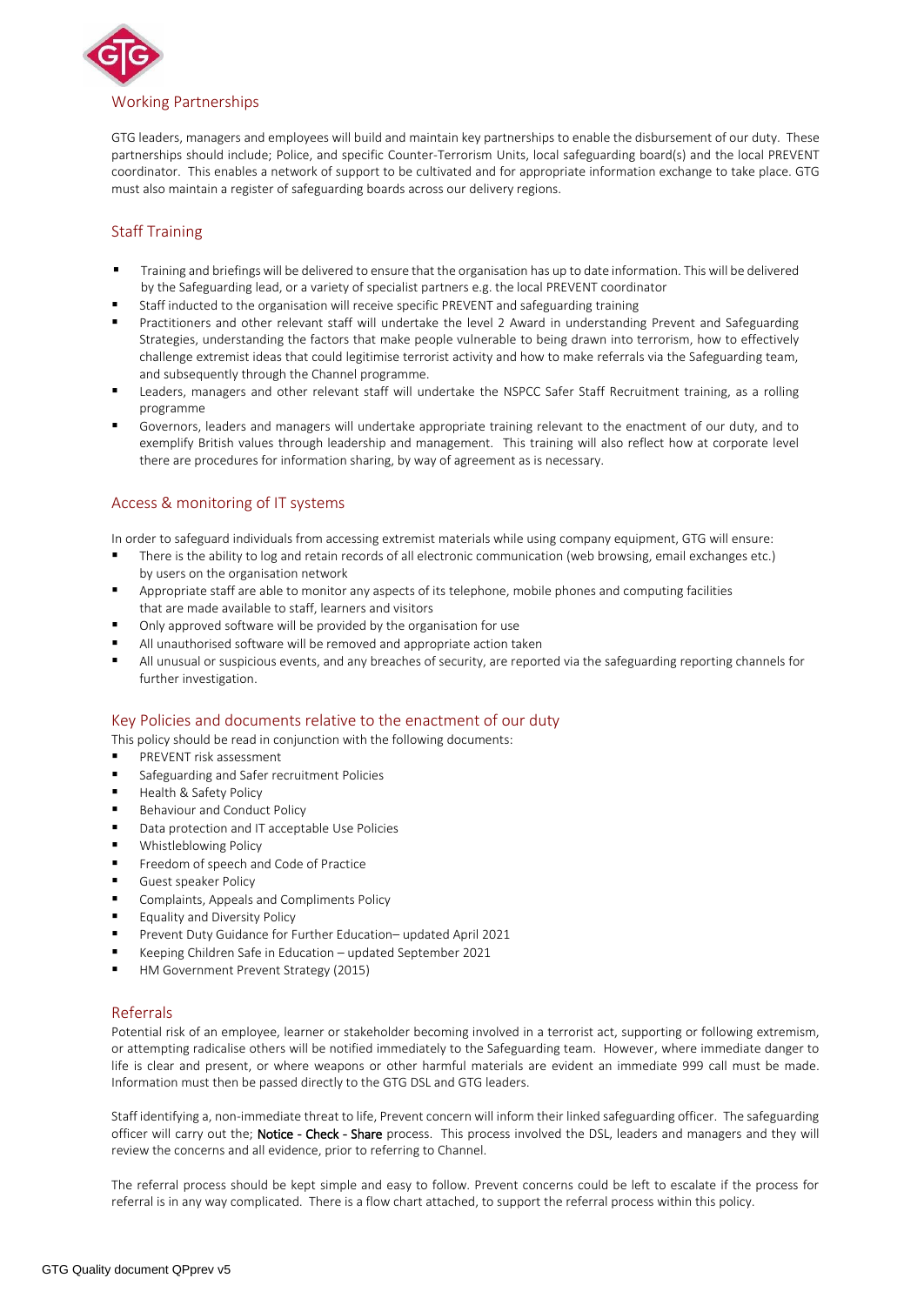

GTG leaders, managers and employees will build and maintain key partnerships to enable the disbursement of our duty. These partnerships should include; Police, and specific Counter-Terrorism Units, local safeguarding board(s) and the local PREVENT coordinator. This enables a network of support to be cultivated and for appropriate information exchange to take place. GTG must also maintain a register of safeguarding boards across our delivery regions.

# Staff Training

- Training and briefings will be delivered to ensure that the organisation has up to date information. This will be delivered by the Safeguarding lead, or a variety of specialist partners e.g. the local PREVENT coordinator
- Staff inducted to the organisation will receive specific PREVENT and safeguarding training
- Practitioners and other relevant staff will undertake the level 2 Award in understanding Prevent and Safeguarding Strategies, understanding the factors that make people vulnerable to being drawn into terrorism, how to effectively challenge extremist ideas that could legitimise terrorist activity and how to make referrals via the Safeguarding team, and subsequently through the Channel programme.
- Leaders, managers and other relevant staff will undertake the NSPCC Safer Staff Recruitment training, as a rolling programme
- Governors, leaders and managers will undertake appropriate training relevant to the enactment of our duty, and to exemplify British values through leadership and management. This training will also reflect how at corporate level there are procedures for information sharing, by way of agreement as is necessary.

# Access & monitoring of IT systems

In order to safeguard individuals from accessing extremist materials while using company equipment, GTG will ensure:

- There is the ability to log and retain records of all electronic communication (web browsing, email exchanges etc.) by users on the organisation network
- Appropriate staff are able to monitor any aspects of its telephone, mobile phones and computing facilities that are made available to staff, learners and visitors
- Only approved software will be provided by the organisation for use
- All unauthorised software will be removed and appropriate action taken
- All unusual or suspicious events, and any breaches of security, are reported via the safeguarding reporting channels for further investigation.

## Key Policies and documents relative to the enactment of our duty

This policy should be read in conjunction with the following documents:

- PREVENT risk assessment
- Safeguarding and Safer recruitment Policies
- Health & Safety Policy
- Behaviour and Conduct Policy
- Data protection and IT acceptable Use Policies
- **Whistleblowing Policy**
- **Freedom of speech and Code of Practice**
- **Guest speaker Policy**
- **E** Complaints, Appeals and Compliments Policy
- Equality and Diversity Policy
- Prevent Duty Guidance for Further Education– updated April 2021
- Keeping Children Safe in Education updated September 2021
- HM Government Prevent Strategy (2015)

### Referrals

Potential risk of an employee, learner or stakeholder becoming involved in a terrorist act, supporting or following extremism, or attempting radicalise others will be notified immediately to the Safeguarding team. However, where immediate danger to life is clear and present, or where weapons or other harmful materials are evident an immediate 999 call must be made. Information must then be passed directly to the GTG DSL and GTG leaders.

Staff identifying a, non-immediate threat to life, Prevent concern will inform their linked safeguarding officer. The safeguarding officer will carry out the; Notice - Check - Share process. This process involved the DSL, leaders and managers and they will review the concerns and all evidence, prior to referring to Channel.

The referral process should be kept simple and easy to follow. Prevent concerns could be left to escalate if the process for referral is in any way complicated. There is a flow chart attached, to support the referral process within this policy.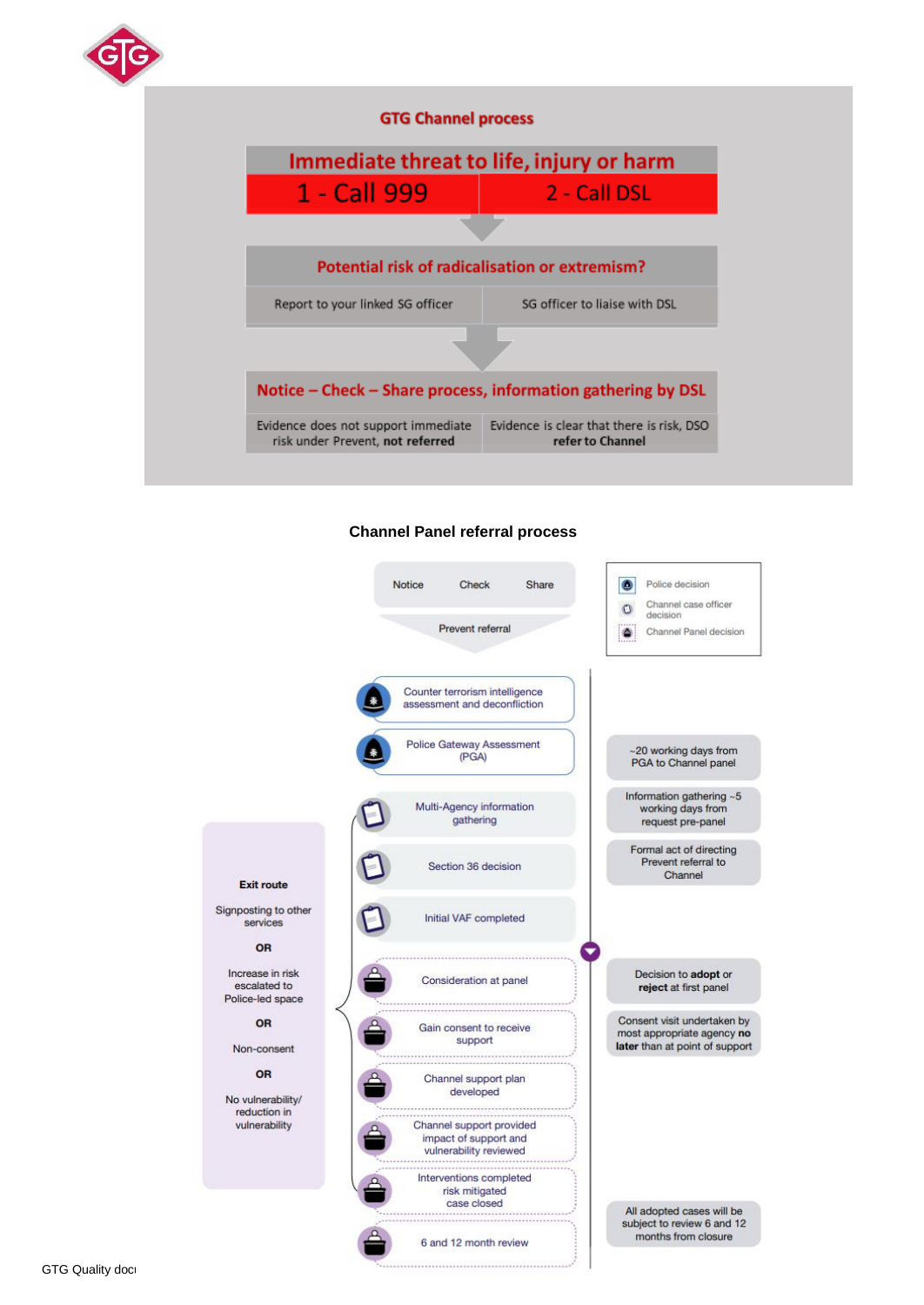



# **Channel Panel referral process**



Signposting to other